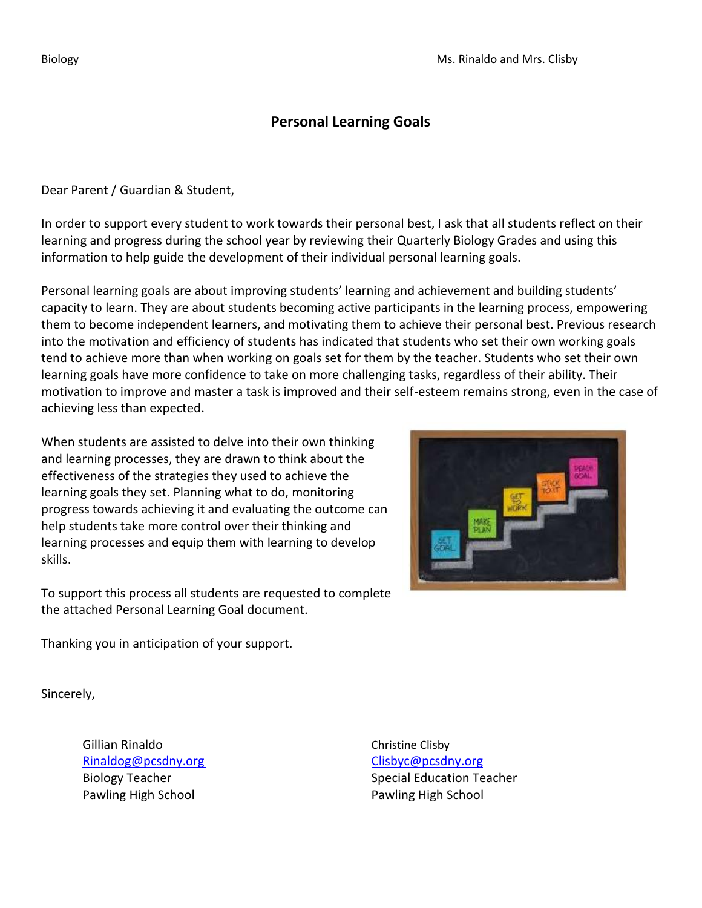## **Personal Learning Goals**

Dear Parent / Guardian & Student,

In order to support every student to work towards their personal best, I ask that all students reflect on their learning and progress during the school year by reviewing their Quarterly Biology Grades and using this information to help guide the development of their individual personal learning goals.

Personal learning goals are about improving students' learning and achievement and building students' capacity to learn. They are about students becoming active participants in the learning process, empowering them to become independent learners, and motivating them to achieve their personal best. Previous research into the motivation and efficiency of students has indicated that students who set their own working goals tend to achieve more than when working on goals set for them by the teacher. Students who set their own learning goals have more confidence to take on more challenging tasks, regardless of their ability. Their motivation to improve and master a task is improved and their self-esteem remains strong, even in the case of achieving less than expected.

When students are assisted to delve into their own thinking and learning processes, they are drawn to think about the effectiveness of the strategies they used to achieve the learning goals they set. Planning what to do, monitoring progress towards achieving it and evaluating the outcome can help students take more control over their thinking and learning processes and equip them with learning to develop skills.

To support this process all students are requested to complete the attached Personal Learning Goal document.

Thanking you in anticipation of your support.

Sincerely,

Gillian Rinaldo **Christian Christian Clisby** [Rinaldog@pcsdny.org](mailto:Rinaldog@pcsdny.org) Clisbyc@pcsdny.org Pawling High School **Pawling High School** 

Biology Teacher Special Education Teacher Special Education Teacher

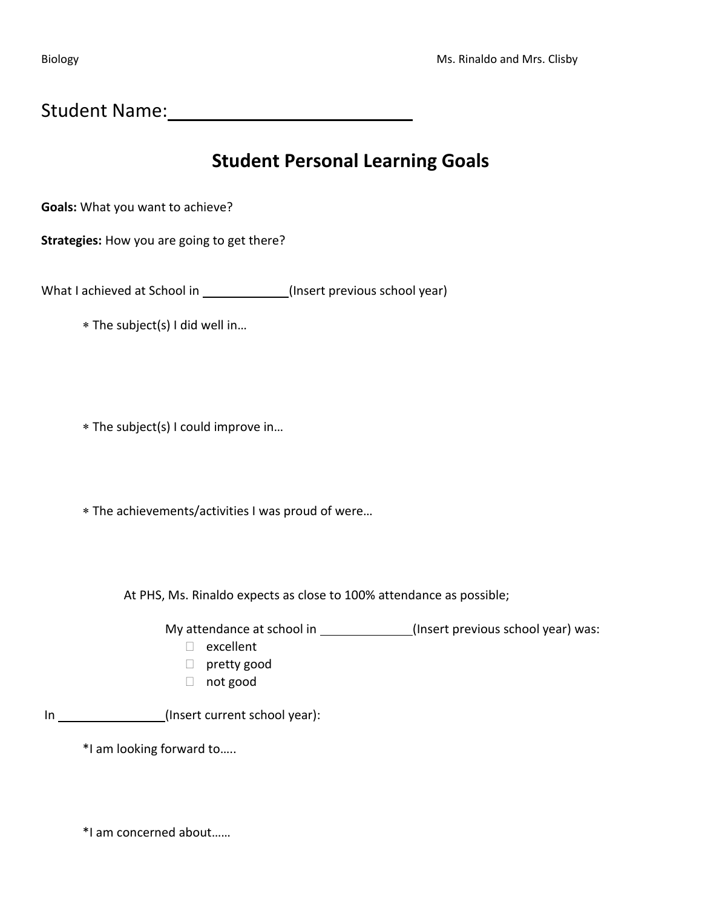Student Name: Mannell Mannell Mannell Mannell Mannell Mannell Mannell Mannell Mannell Mannell Mannell Mannell

# **Student Personal Learning Goals**

**Goals:** What you want to achieve?

**Strategies:** How you are going to get there?

What I achieved at School in (Insert previous school year)

The subject(s) I did well in…

The subject(s) I could improve in…

The achievements/activities I was proud of were…

At PHS, Ms. Rinaldo expects as close to 100% attendance as possible;

My attendance at school in \_\_\_\_\_\_\_\_\_\_\_\_\_(Insert previous school year) was:

- excellent
- pretty good
- not good

In (Insert current school year):

\*I am looking forward to…..

\*I am concerned about……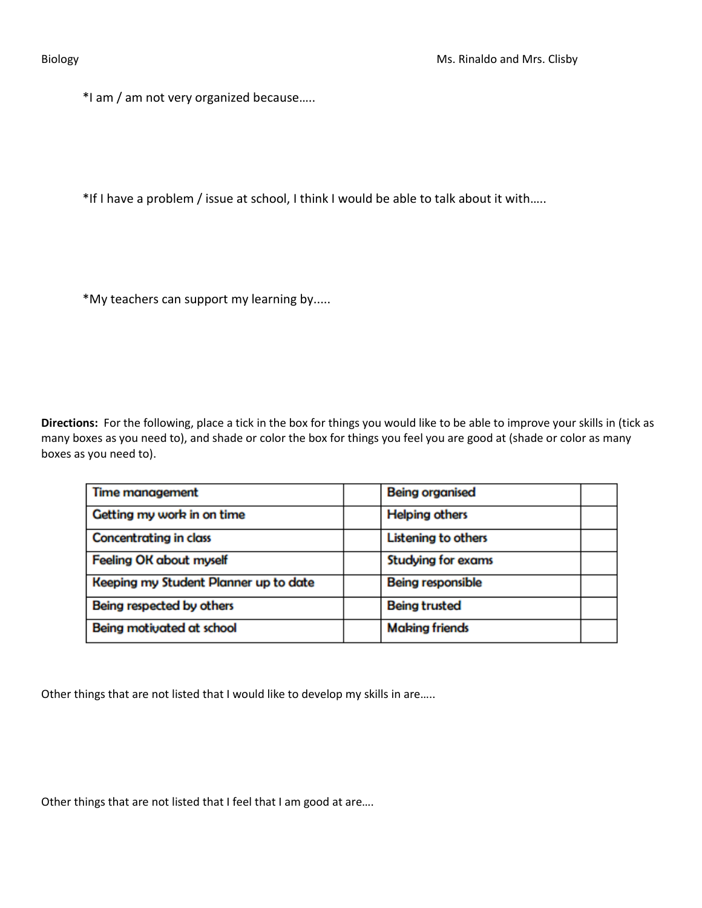\*I am / am not very organized because…..

\*If I have a problem / issue at school, I think I would be able to talk about it with…..

\*My teachers can support my learning by.....

**Directions:** For the following, place a tick in the box for things you would like to be able to improve your skills in (tick as many boxes as you need to), and shade or color the box for things you feel you are good at (shade or color as many boxes as you need to).

| <b>Time management</b>                | <b>Being organised</b>     |
|---------------------------------------|----------------------------|
| Getting my work in on time            | <b>Helping others</b>      |
| <b>Concentrating in class</b>         | <b>Listening to others</b> |
| <b>Feeling OK about myself</b>        | <b>Studying for exams</b>  |
| Keeping my Student Planner up to date | <b>Being responsible</b>   |
| Being respected by others             | <b>Being trusted</b>       |
| Being motivated at school             | <b>Making friends</b>      |

Other things that are not listed that I would like to develop my skills in are.....

Other things that are not listed that I feel that I am good at are....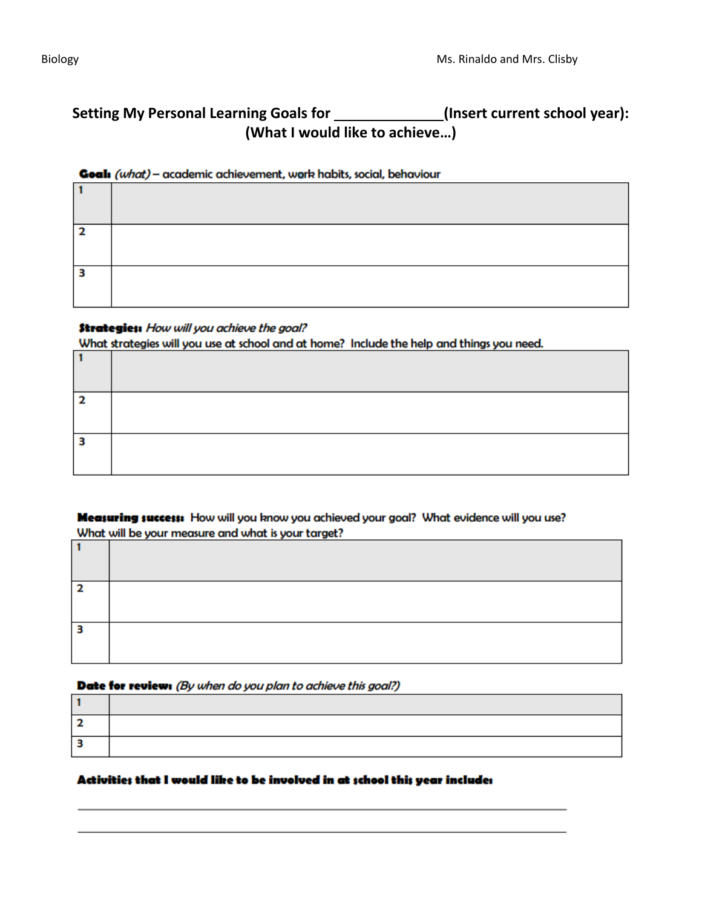# Setting My Personal Learning Goals for \_\_\_\_\_\_\_\_\_\_\_\_\_\_(Insert current school year): **(What I would like to achieve…)**

### Goal: (what) - academic achievement, work habits, social, behaviour

| ∍ |  |
|---|--|
| s |  |

## **Strategies:** How will you achieve the goal?

What strategies will you use at school and at home? Include the help and things you need. Ë

Measuring success: How will you know you achieved your goal? What evidence will you use? What will be your measure and what is your target?

### Date for review: (By when do you plan to achieve this goal?)

### Activities that I would like to be involved in at school this year include: